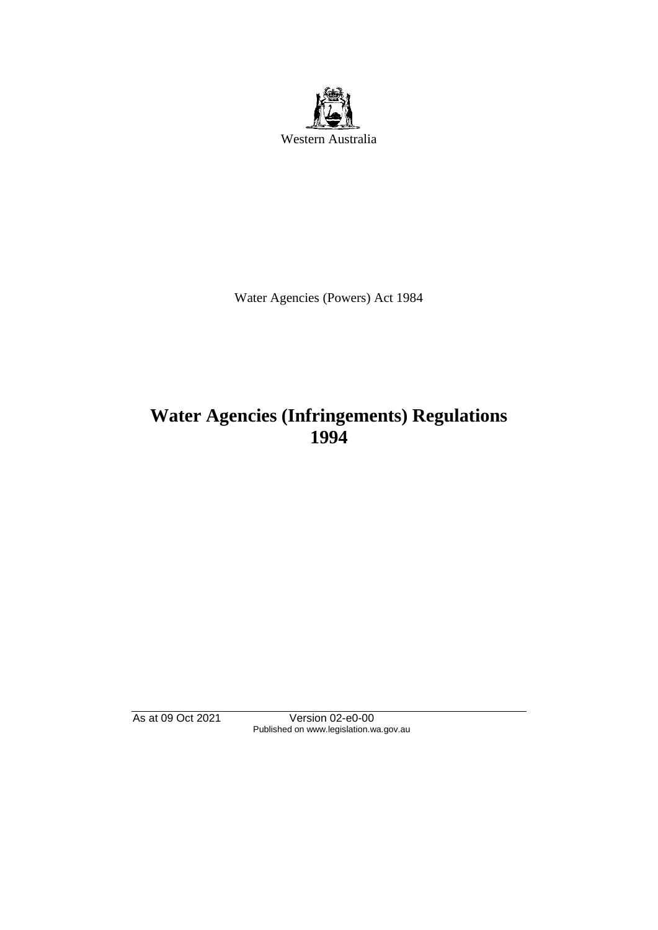

Water Agencies (Powers) Act 1984

# **Water Agencies (Infringements) Regulations 1994**

As at 09 Oct 2021 Version 02-e0-00 Published on www.legislation.wa.gov.au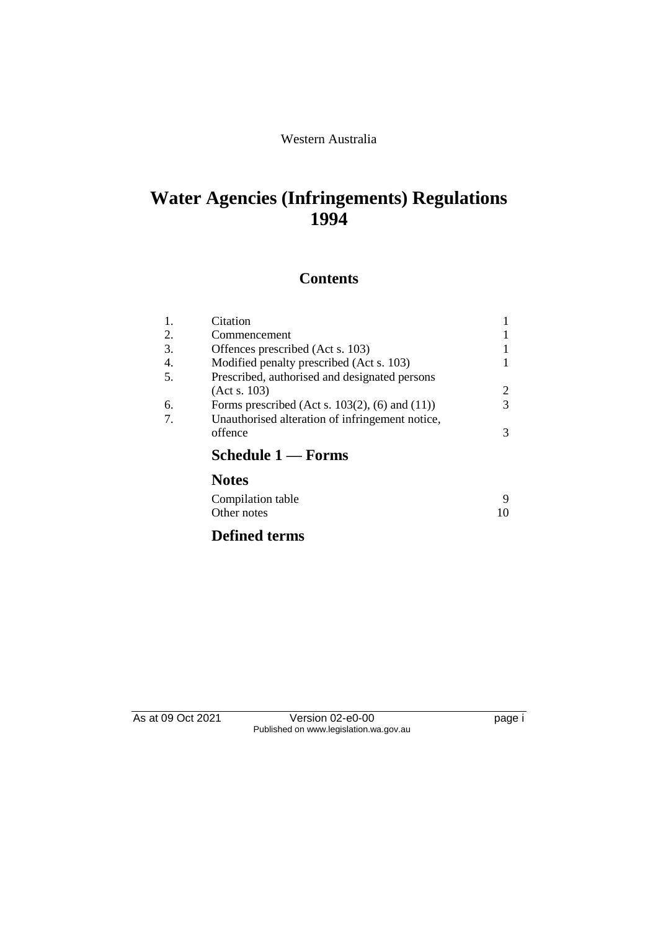# Western Australia

# **Water Agencies (Infringements) Regulations 1994**

# **Contents**

| (Act s. 103)<br>Forms prescribed (Act s. $103(2)$ , (6) and (11)) | 3 |
|-------------------------------------------------------------------|---|
|                                                                   | 2 |
|                                                                   |   |
| Prescribed, authorised and designated persons                     |   |
| Modified penalty prescribed (Act s. 103)                          |   |
| Offences prescribed (Act s. 103)                                  |   |
| Commencement                                                      |   |
| Citation                                                          |   |
|                                                                   |   |

| Compilation table |    |
|-------------------|----|
| Other notes       | 10 |

# **Defined terms**

As at 09 Oct 2021 Version 02-e0-00 page i Published on www.legislation.wa.gov.au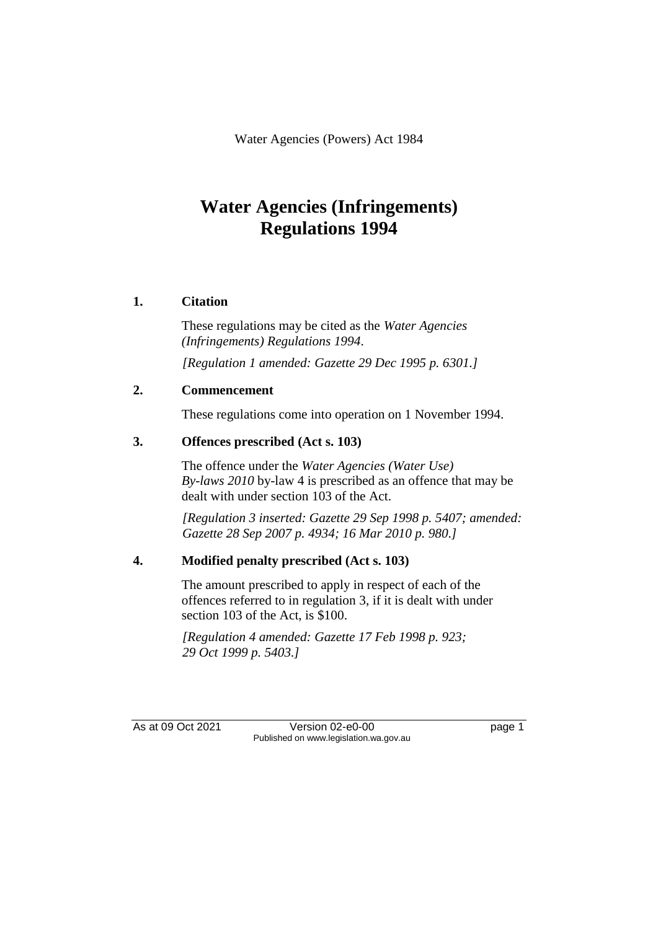Water Agencies (Powers) Act 1984

# **Water Agencies (Infringements) Regulations 1994**

# **1. Citation**

These regulations may be cited as the *Water Agencies (Infringements) Regulations 1994*.

*[Regulation 1 amended: Gazette 29 Dec 1995 p. 6301.]*

### **2. Commencement**

These regulations come into operation on 1 November 1994.

# **3. Offences prescribed (Act s. 103)**

The offence under the *Water Agencies (Water Use) By-laws 2010* by-law 4 is prescribed as an offence that may be dealt with under section 103 of the Act.

*[Regulation 3 inserted: Gazette 29 Sep 1998 p. 5407; amended: Gazette 28 Sep 2007 p. 4934; 16 Mar 2010 p. 980.]*

### **4. Modified penalty prescribed (Act s. 103)**

The amount prescribed to apply in respect of each of the offences referred to in regulation 3, if it is dealt with under section 103 of the Act, is \$100.

*[Regulation 4 amended: Gazette 17 Feb 1998 p. 923; 29 Oct 1999 p. 5403.]*

As at 09 Oct 2021 Version 02-e0-00 Page 1 Published on www.legislation.wa.gov.au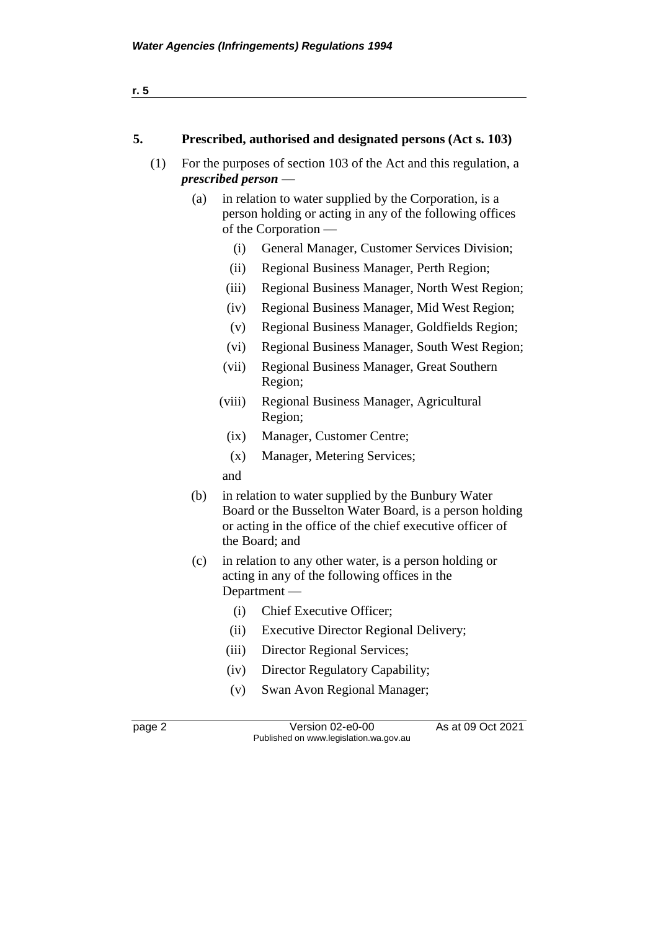| 5.  | Prescribed, authorised and designated persons (Act s. 103)                                                                                          |
|-----|-----------------------------------------------------------------------------------------------------------------------------------------------------|
| (1) | For the purposes of section 103 of the Act and this regulation, a<br>$prescribed$ person $-$                                                        |
|     | in relation to water supplied by the Corporation, is a<br>(a)<br>person holding or acting in any of the following offices<br>of the Corporation $-$ |

- (i) General Manager, Customer Services Division;
- (ii) Regional Business Manager, Perth Region;
- (iii) Regional Business Manager, North West Region;
- (iv) Regional Business Manager, Mid West Region;
- (v) Regional Business Manager, Goldfields Region;
- (vi) Regional Business Manager, South West Region;
- (vii) Regional Business Manager, Great Southern Region;
- (viii) Regional Business Manager, Agricultural Region;
- (ix) Manager, Customer Centre;
- (x) Manager, Metering Services;

and

- (b) in relation to water supplied by the Bunbury Water Board or the Busselton Water Board, is a person holding or acting in the office of the chief executive officer of the Board; and
- (c) in relation to any other water, is a person holding or acting in any of the following offices in the Department —
	- (i) Chief Executive Officer;
	- (ii) Executive Director Regional Delivery;
	- (iii) Director Regional Services;
	- (iv) Director Regulatory Capability;
	- (v) Swan Avon Regional Manager;

page 2 Version 02-e0-00 As at 09 Oct 2021 Published on www.legislation.wa.gov.au

**r. 5**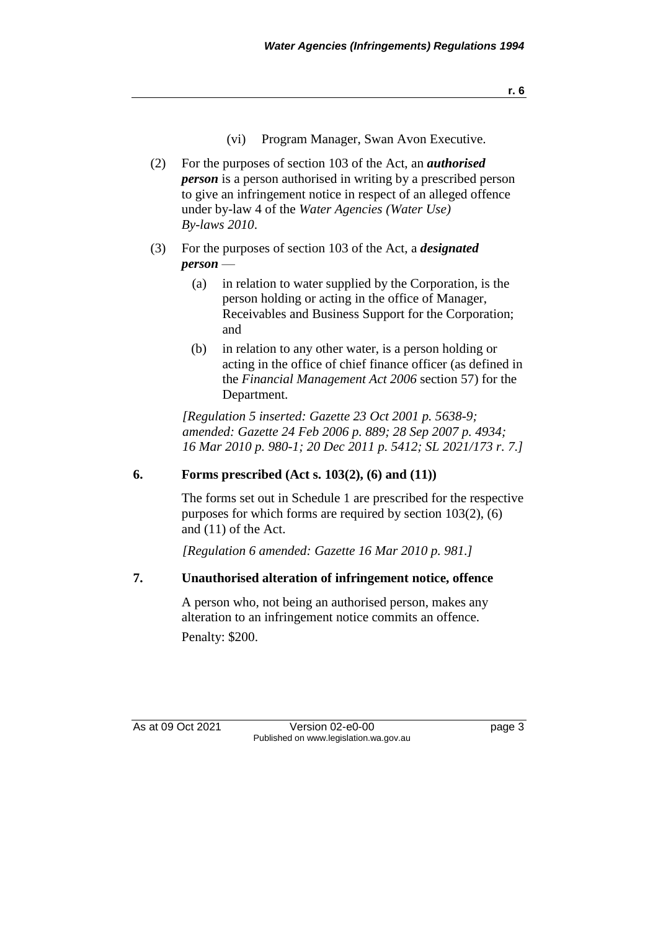**r. 6**

- (vi) Program Manager, Swan Avon Executive.
- (2) For the purposes of section 103 of the Act, an *authorised person* is a person authorised in writing by a prescribed person to give an infringement notice in respect of an alleged offence under by-law 4 of the *Water Agencies (Water Use) By-laws 2010*.
- (3) For the purposes of section 103 of the Act, a *designated person* —
	- (a) in relation to water supplied by the Corporation, is the person holding or acting in the office of Manager, Receivables and Business Support for the Corporation; and
	- (b) in relation to any other water, is a person holding or acting in the office of chief finance officer (as defined in the *Financial Management Act 2006* section 57) for the Department.

*[Regulation 5 inserted: Gazette 23 Oct 2001 p. 5638-9; amended: Gazette 24 Feb 2006 p. 889; 28 Sep 2007 p. 4934; 16 Mar 2010 p. 980-1; 20 Dec 2011 p. 5412; SL 2021/173 r. 7.]*

### **6. Forms prescribed (Act s. 103(2), (6) and (11))**

The forms set out in Schedule 1 are prescribed for the respective purposes for which forms are required by section 103(2), (6) and (11) of the Act.

*[Regulation 6 amended: Gazette 16 Mar 2010 p. 981.]*

### **7. Unauthorised alteration of infringement notice, offence**

A person who, not being an authorised person, makes any alteration to an infringement notice commits an offence. Penalty: \$200.

As at 09 Oct 2021 Version 02-e0-00 Page 3 Published on www.legislation.wa.gov.au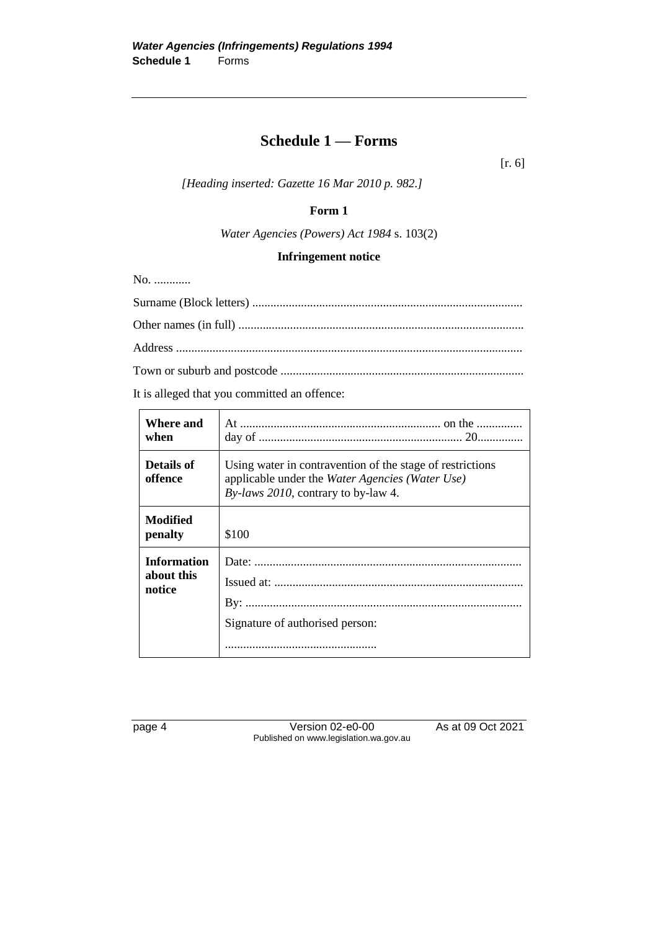# **Schedule 1 — Forms**

[r. 6]

*[Heading inserted: Gazette 16 Mar 2010 p. 982.]*

### **Form 1**

*Water Agencies (Powers) Act 1984* s. 103(2)

#### **Infringement notice**

No. ............

It is alleged that you committed an offence:

| Where and<br>when                          |                                                                                                                                                        |
|--------------------------------------------|--------------------------------------------------------------------------------------------------------------------------------------------------------|
| Details of<br>offence                      | Using water in contravention of the stage of restrictions<br>applicable under the Water Agencies (Water Use)<br>By-laws $2010$ , contrary to by-law 4. |
| Modified<br>penalty                        | \$100                                                                                                                                                  |
| <b>Information</b><br>about this<br>notice | Signature of authorised person:                                                                                                                        |

page 4 Version 02-e0-00 As at 09 Oct 2021 Published on www.legislation.wa.gov.au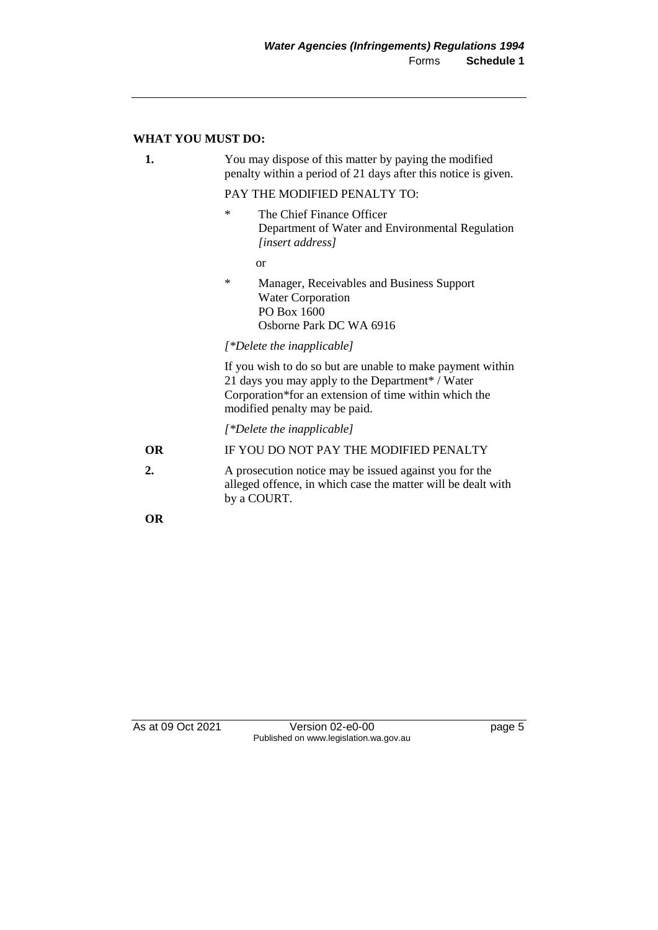#### **WHAT YOU MUST DO:**

| 1. | You may dispose of this matter by paying the modified<br>penalty within a period of 21 days after this notice is given. |
|----|-------------------------------------------------------------------------------------------------------------------------|
|    | PAY THE MODIFIED PENALTY TO:                                                                                            |
|    | ∗<br>The Chief Finance Officer<br>Department of Water and Environmental Regulation<br>[insert address]                  |

or

\* Manager, Receivables and Business Support Water Corporation PO Box 1600 Osborne Park DC WA 6916

*[\*Delete the inapplicable]*

If you wish to do so but are unable to make payment within 21 days you may apply to the Department\* / Water Corporation\*for an extension of time within which the modified penalty may be paid.

*[\*Delete the inapplicable]*

by a COURT.

**OR** IF YOU DO NOT PAY THE MODIFIED PENALTY **2.** A prosecution notice may be issued against you for the alleged offence, in which case the matter will be dealt with

**OR**

As at 09 Oct 2021 Version 02-e0-00 Page 5 Published on www.legislation.wa.gov.au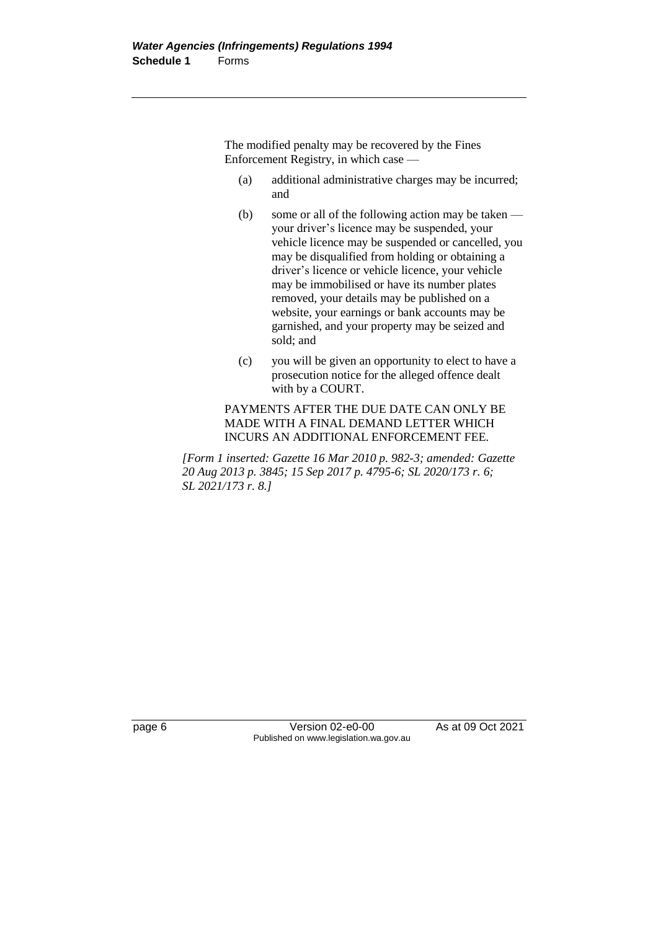The modified penalty may be recovered by the Fines Enforcement Registry, in which case —

- (a) additional administrative charges may be incurred; and
- (b) some or all of the following action may be taken your driver's licence may be suspended, your vehicle licence may be suspended or cancelled, you may be disqualified from holding or obtaining a driver's licence or vehicle licence, your vehicle may be immobilised or have its number plates removed, your details may be published on a website, your earnings or bank accounts may be garnished, and your property may be seized and sold; and
- (c) you will be given an opportunity to elect to have a prosecution notice for the alleged offence dealt with by a COURT.

PAYMENTS AFTER THE DUE DATE CAN ONLY BE MADE WITH A FINAL DEMAND LETTER WHICH INCURS AN ADDITIONAL ENFORCEMENT FEE.

*[Form 1 inserted: Gazette 16 Mar 2010 p. 982-3; amended: Gazette 20 Aug 2013 p. 3845; 15 Sep 2017 p. 4795-6; SL 2020/173 r. 6; SL 2021/173 r. 8.]*

page 6 Version 02-e0-00 As at 09 Oct 2021 Published on www.legislation.wa.gov.au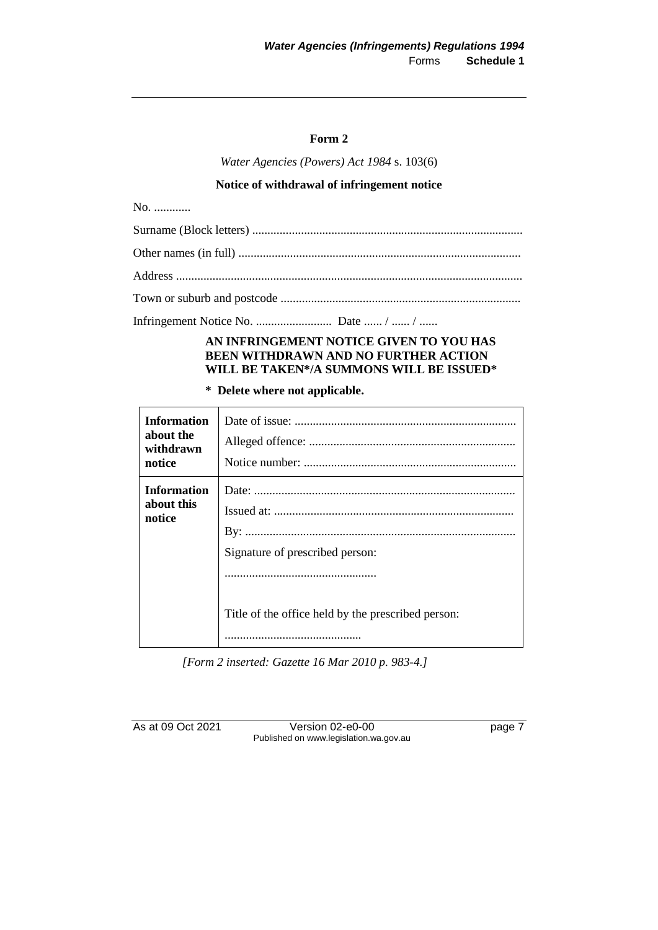#### **Form 2**

*Water Agencies (Powers) Act 1984* s. 103(6)

#### **Notice of withdrawal of infringement notice**

No. .............

Infringement Notice No. ......................... Date ...... / ...... / ......

#### **AN INFRINGEMENT NOTICE GIVEN TO YOU HAS BEEN WITHDRAWN AND NO FURTHER ACTION WILL BE TAKEN\*/A SUMMONS WILL BE ISSUED\***

#### **\* Delete where not applicable.**

| notice                                                                                                                                  | <b>Information</b><br>about the<br>withdrawn |
|-----------------------------------------------------------------------------------------------------------------------------------------|----------------------------------------------|
| <b>Information</b><br>about this<br>notice<br>Signature of prescribed person:<br>Title of the office held by the prescribed person:<br> |                                              |

*[Form 2 inserted: Gazette 16 Mar 2010 p. 983-4.]*

As at 09 Oct 2021 Version 02-e0-00 Page 7 Published on www.legislation.wa.gov.au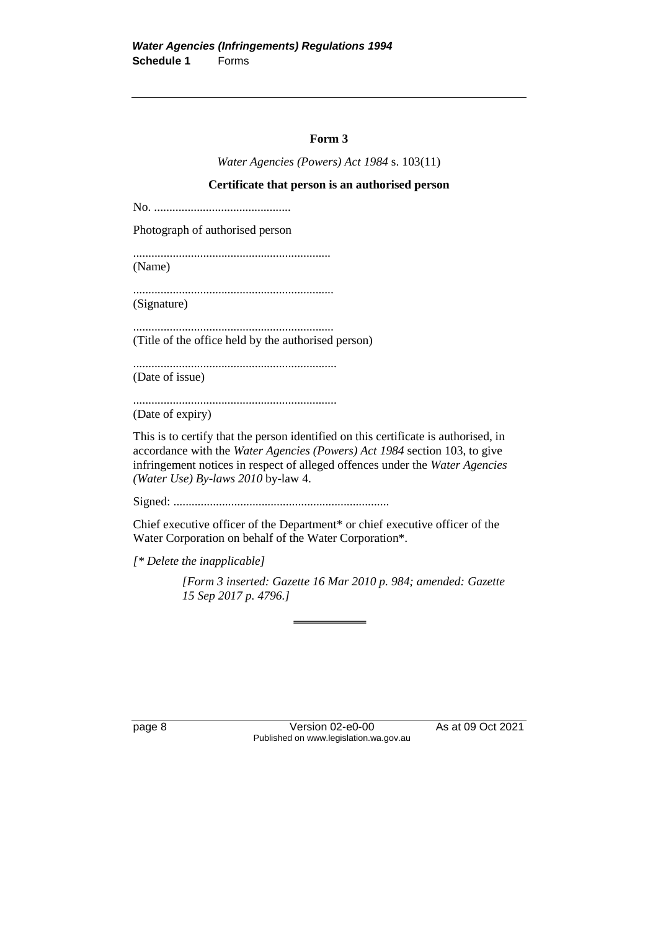#### **Form 3**

*Water Agencies (Powers) Act 1984* s. 103(11)

#### **Certificate that person is an authorised person**

No. .............................................

Photograph of authorised person

................................................................. (Name)

.................................................................. (Signature)

.................................................................. (Title of the office held by the authorised person)

...................................................................

(Date of issue)

...................................................................

(Date of expiry)

This is to certify that the person identified on this certificate is authorised, in accordance with the *Water Agencies (Powers) Act 1984* section 103, to give infringement notices in respect of alleged offences under the *Water Agencies (Water Use) By-laws 2010* by-law 4.

Signed: .......................................................................

Chief executive officer of the Department\* or chief executive officer of the Water Corporation on behalf of the Water Corporation\*.

*[\* Delete the inapplicable]*

*[Form 3 inserted: Gazette 16 Mar 2010 p. 984; amended: Gazette 15 Sep 2017 p. 4796.]*

page 8 Version 02-e0-00 As at 09 Oct 2021 Published on www.legislation.wa.gov.au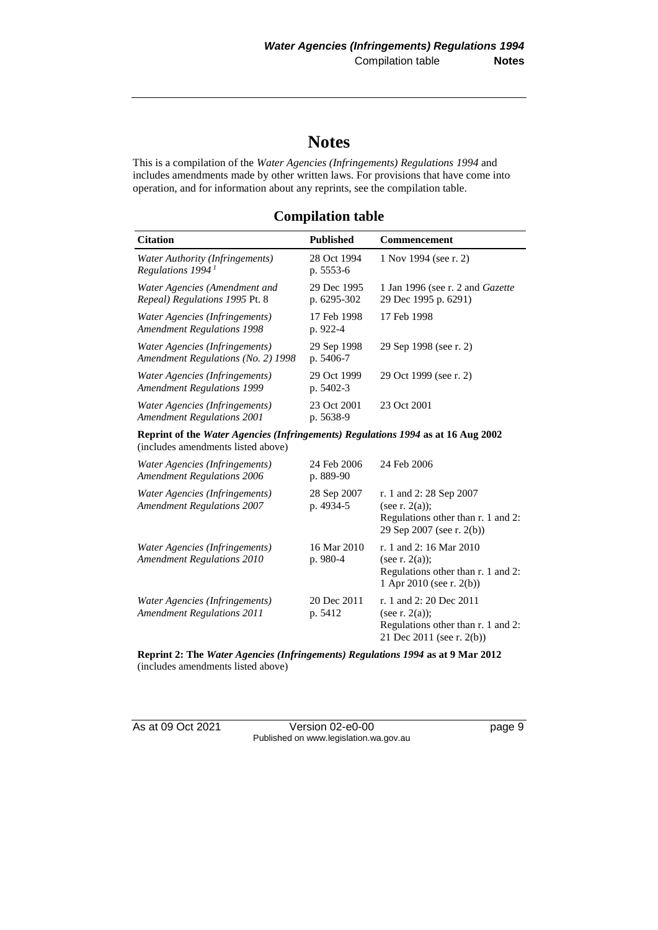# **Notes**

This is a compilation of the *Water Agencies (Infringements) Regulations 1994* and includes amendments made by other written laws. For provisions that have come into operation, and for information about any reprints, see the compilation table.

**Compilation table**

| <b>Citation</b>                                                                | <b>Published</b>           | <b>Commencement</b>                                             |
|--------------------------------------------------------------------------------|----------------------------|-----------------------------------------------------------------|
| Water Authority (Infringements)<br>Regulations 1994 $^1$                       | 28 Oct 1994<br>p. 5553-6   | 1 Nov 1994 (see r. 2)                                           |
| Water Agencies (Amendment and<br><i>Repeal</i> ) <i>Regulations</i> 1995 Pt. 8 | 29 Dec 1995<br>p. 6295-302 | 1 Jan 1996 (see r. 2 and <i>Gazette</i><br>29 Dec 1995 p. 6291) |
| Water Agencies (Infringements)<br><b>Amendment Regulations 1998</b>            | 17 Feb 1998<br>p. 922-4    | 17 Feb 1998                                                     |
| Water Agencies (Infringements)<br>Amendment Regulations (No. 2) 1998           | 29 Sep 1998<br>p. 5406-7   | 29 Sep 1998 (see r. 2)                                          |
| Water Agencies (Infringements)<br><b>Amendment Regulations 1999</b>            | 29 Oct 1999<br>p. 5402-3   | 29 Oct 1999 (see r. 2)                                          |
| Water Agencies (Infringements)<br><b>Amendment Regulations 2001</b>            | 23 Oct 2001<br>p. 5638-9   | 23 Oct 2001                                                     |

**Reprint of the** *Water Agencies (Infringements) Regulations 1994* **as at 16 Aug 2002** (includes amendments listed above)

| Water Agencies (Infringements)<br><b>Amendment Regulations 2006</b> | 24 Feb 2006<br>p. 889-90 | 24 Feb 2006                                                                                                     |
|---------------------------------------------------------------------|--------------------------|-----------------------------------------------------------------------------------------------------------------|
| Water Agencies (Infringements)<br><b>Amendment Regulations 2007</b> | 28 Sep 2007<br>p. 4934-5 | r. 1 and 2: 28 Sep 2007<br>(see r. $2(a)$ );<br>Regulations other than r. 1 and 2:<br>29 Sep 2007 (see r. 2(b)) |
| Water Agencies (Infringements)<br><b>Amendment Regulations 2010</b> | 16 Mar 2010<br>$p.980-4$ | r. 1 and 2: 16 Mar 2010<br>(see r. $2(a)$ ):<br>Regulations other than r. 1 and 2:<br>1 Apr 2010 (see r. 2(b))  |
| Water Agencies (Infringements)<br><b>Amendment Regulations 2011</b> | 20 Dec 2011<br>p. 5412   | r. 1 and 2: 20 Dec 2011<br>(see r. $2(a)$ );<br>Regulations other than r. 1 and 2:<br>21 Dec 2011 (see r. 2(b)) |

**Reprint 2: The** *Water Agencies (Infringements) Regulations 1994* **as at 9 Mar 2012** (includes amendments listed above)

As at 09 Oct 2021 Version 02-e0-00 Page 9 Published on www.legislation.wa.gov.au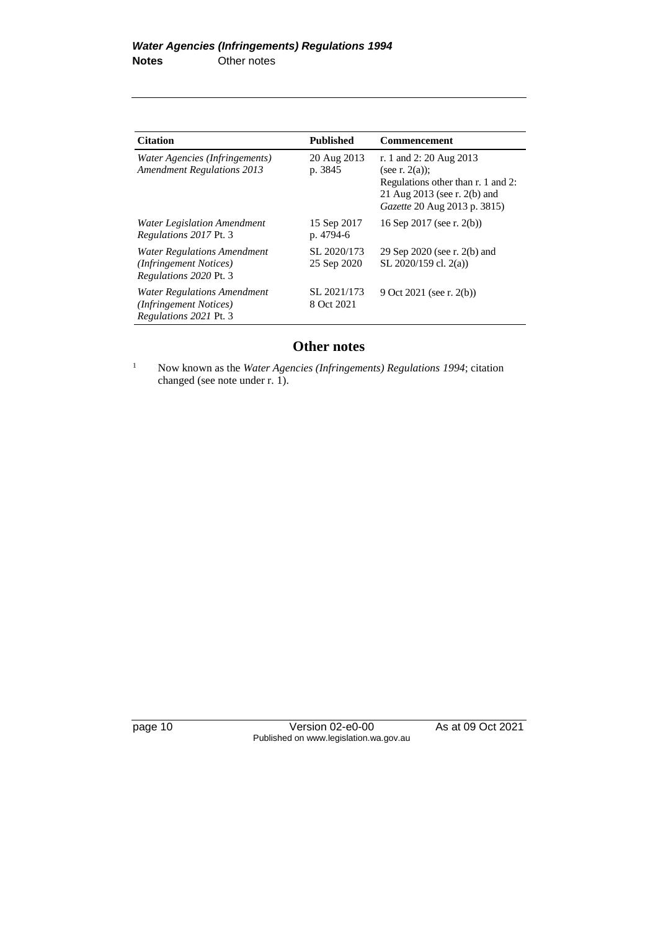| <b>Citation</b>                                                                               | <b>Published</b>           | <b>Commencement</b>                                                                                                                                |
|-----------------------------------------------------------------------------------------------|----------------------------|----------------------------------------------------------------------------------------------------------------------------------------------------|
| Water Agencies (Infringements)<br><b>Amendment Regulations 2013</b>                           | 20 Aug 2013<br>p. 3845     | r. 1 and 2: 20 Aug 2013<br>(see r. $2(a)$ );<br>Regulations other than r. 1 and 2:<br>21 Aug 2013 (see r. 2(b) and<br>Gazette 20 Aug 2013 p. 3815) |
| <b>Water Legislation Amendment</b><br><i>Regulations 2017 Pt. 3</i>                           | 15 Sep 2017<br>p. 4794-6   | 16 Sep 2017 (see r. 2(b))                                                                                                                          |
| Water Regulations Amendment<br>(Infringement Notices)<br><i>Regulations 2020 Pt. 3</i>        | SL 2020/173<br>25 Sep 2020 | 29 Sep 2020 (see r. 2(b) and<br>SL $2020/159$ cl. $2(a)$ )                                                                                         |
| <b>Water Regulations Amendment</b><br>(Infringement Notices)<br><i>Regulations 2021 Pt. 3</i> | SL 2021/173<br>8 Oct 2021  | 9 Oct 2021 (see r. 2(b))                                                                                                                           |

# **Other notes**

<sup>1</sup> Now known as the *Water Agencies (Infringements) Regulations 1994*; citation changed (see note under r. 1).

page 10 Version 02-e0-00 As at 09 Oct 2021 Published on www.legislation.wa.gov.au